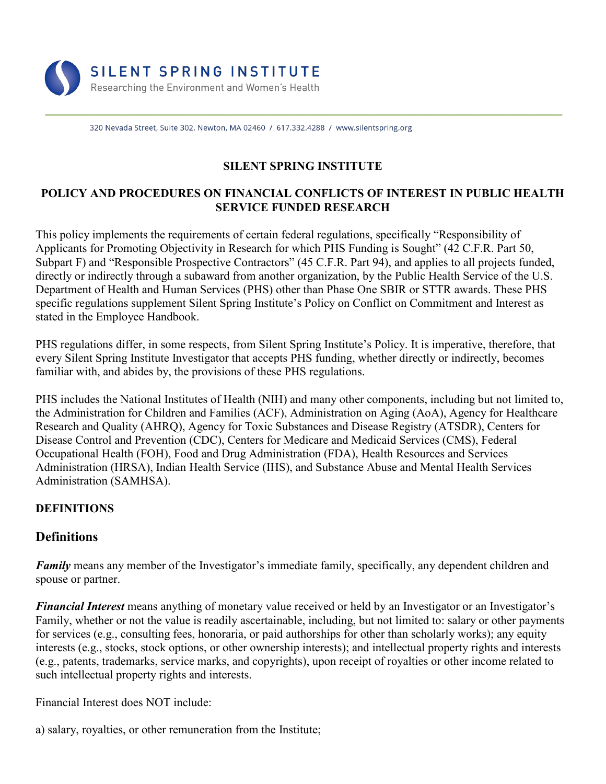

320 Nevada Street, Suite 302, Newton, MA 02460 / 617.332.4288 / www.silentspring.org

## **SILENT SPRING INSTITUTE**

#### **POLICY AND PROCEDURES ON FINANCIAL CONFLICTS OF INTEREST IN PUBLIC HEALTH SERVICE FUNDED RESEARCH**

This policy implements the requirements of certain federal regulations, specifically "Responsibility of Applicants for Promoting Objectivity in Research for which PHS Funding is Sought" (42 C.F.R. Part 50, Subpart F) and "Responsible Prospective Contractors" (45 C.F.R. Part 94), and applies to all projects funded, directly or indirectly through a subaward from another organization, by the Public Health Service of the U.S. Department of Health and Human Services (PHS) other than Phase One SBIR or STTR awards. These PHS specific regulations supplement Silent Spring Institute's Policy on Conflict on Commitment and Interest as stated in the Employee Handbook.

PHS regulations differ, in some respects, from Silent Spring Institute's Policy. It is imperative, therefore, that every Silent Spring Institute Investigator that accepts PHS funding, whether directly or indirectly, becomes familiar with, and abides by, the provisions of these PHS regulations.

PHS includes the National Institutes of Health (NIH) and many other components, including but not limited to, the Administration for Children and Families (ACF), Administration on Aging (AoA), Agency for Healthcare Research and Quality (AHRQ), Agency for Toxic Substances and Disease Registry (ATSDR), Centers for Disease Control and Prevention (CDC), Centers for Medicare and Medicaid Services (CMS), Federal Occupational Health (FOH), Food and Drug Administration (FDA), Health Resources and Services Administration (HRSA), Indian Health Service (IHS), and Substance Abuse and Mental Health Services Administration (SAMHSA).

#### **DEFINITIONS**

# **Definitions**

*Family* means any member of the Investigator's immediate family, specifically, any dependent children and spouse or partner.

*Financial Interest* means anything of monetary value received or held by an Investigator or an Investigator's Family, whether or not the value is readily ascertainable, including, but not limited to: salary or other payments for services (e.g., consulting fees, honoraria, or paid authorships for other than scholarly works); any equity interests (e.g., stocks, stock options, or other ownership interests); and intellectual property rights and interests (e.g., patents, trademarks, service marks, and copyrights), upon receipt of royalties or other income related to such intellectual property rights and interests.

Financial Interest does NOT include:

a) salary, royalties, or other remuneration from the Institute;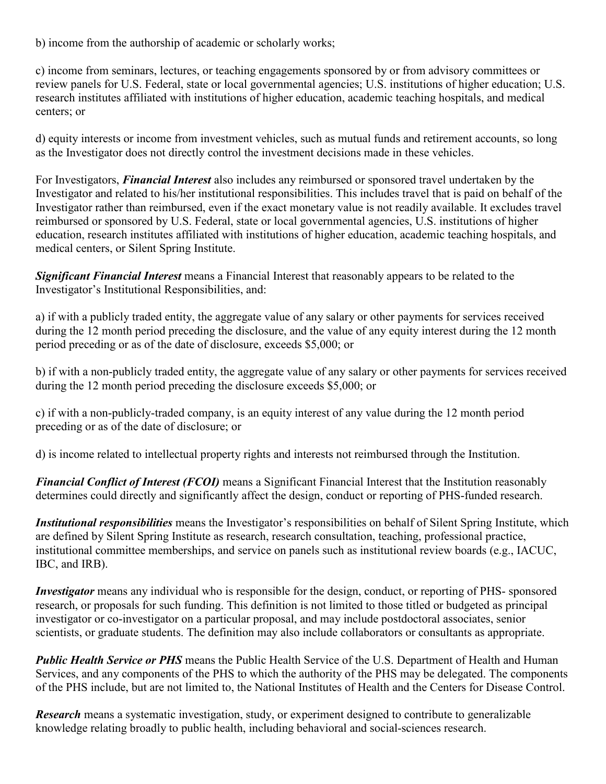b) income from the authorship of academic or scholarly works;

c) income from seminars, lectures, or teaching engagements sponsored by or from advisory committees or review panels for U.S. Federal, state or local governmental agencies; U.S. institutions of higher education; U.S. research institutes affiliated with institutions of higher education, academic teaching hospitals, and medical centers; or

d) equity interests or income from investment vehicles, such as mutual funds and retirement accounts, so long as the Investigator does not directly control the investment decisions made in these vehicles.

For Investigators, *Financial Interest* also includes any reimbursed or sponsored travel undertaken by the Investigator and related to his/her institutional responsibilities. This includes travel that is paid on behalf of the Investigator rather than reimbursed, even if the exact monetary value is not readily available. It excludes travel reimbursed or sponsored by U.S. Federal, state or local governmental agencies, U.S. institutions of higher education, research institutes affiliated with institutions of higher education, academic teaching hospitals, and medical centers, or Silent Spring Institute.

*Significant Financial Interest* means a Financial Interest that reasonably appears to be related to the Investigator's Institutional Responsibilities, and:

a) if with a publicly traded entity, the aggregate value of any salary or other payments for services received during the 12 month period preceding the disclosure, and the value of any equity interest during the 12 month period preceding or as of the date of disclosure, exceeds \$5,000; or

b) if with a non-publicly traded entity, the aggregate value of any salary or other payments for services received during the 12 month period preceding the disclosure exceeds \$5,000; or

c) if with a non-publicly-traded company, is an equity interest of any value during the 12 month period preceding or as of the date of disclosure; or

d) is income related to intellectual property rights and interests not reimbursed through the Institution.

*Financial Conflict of Interest (FCOI)* means a Significant Financial Interest that the Institution reasonably determines could directly and significantly affect the design, conduct or reporting of PHS-funded research.

*Institutional responsibilities* means the Investigator's responsibilities on behalf of Silent Spring Institute, which are defined by Silent Spring Institute as research, research consultation, teaching, professional practice, institutional committee memberships, and service on panels such as institutional review boards (e.g., IACUC, IBC, and IRB).

*Investigator* means any individual who is responsible for the design, conduct, or reporting of PHS- sponsored research, or proposals for such funding. This definition is not limited to those titled or budgeted as principal investigator or co-investigator on a particular proposal, and may include postdoctoral associates, senior scientists, or graduate students. The definition may also include collaborators or consultants as appropriate.

*Public Health Service or PHS* means the Public Health Service of the U.S. Department of Health and Human Services, and any components of the PHS to which the authority of the PHS may be delegated. The components of the PHS include, but are not limited to, the National Institutes of Health and the Centers for Disease Control.

*Research* means a systematic investigation, study, or experiment designed to contribute to generalizable knowledge relating broadly to public health, including behavioral and social-sciences research.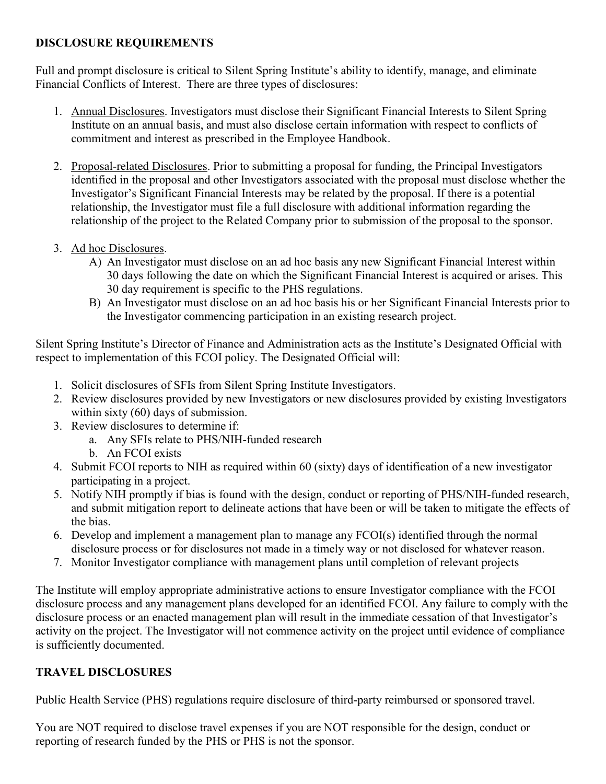## **DISCLOSURE REQUIREMENTS**

Full and prompt disclosure is critical to Silent Spring Institute's ability to identify, manage, and eliminate Financial Conflicts of Interest. There are three types of disclosures:

- 1. Annual Disclosures. Investigators must disclose their Significant Financial Interests to Silent Spring Institute on an annual basis, and must also disclose certain information with respect to conflicts of commitment and interest as prescribed in the Employee Handbook.
- 2. Proposal-related Disclosures. Prior to submitting a proposal for funding, the Principal Investigators identified in the proposal and other Investigators associated with the proposal must disclose whether the Investigator's Significant Financial Interests may be related by the proposal. If there is a potential relationship, the Investigator must file a full disclosure with additional information regarding the relationship of the project to the Related Company prior to submission of the proposal to the sponsor.
- 3. Ad hoc Disclosures.
	- A) An Investigator must disclose on an ad hoc basis any new Significant Financial Interest within 30 days following the date on which the Significant Financial Interest is acquired or arises. This 30 day requirement is specific to the PHS regulations.
	- B) An Investigator must disclose on an ad hoc basis his or her Significant Financial Interests prior to the Investigator commencing participation in an existing research project.

Silent Spring Institute's Director of Finance and Administration acts as the Institute's Designated Official with respect to implementation of this FCOI policy. The Designated Official will:

- 1. Solicit disclosures of SFIs from Silent Spring Institute Investigators.
- 2. Review disclosures provided by new Investigators or new disclosures provided by existing Investigators within sixty (60) days of submission.
- 3. Review disclosures to determine if:
	- a. Any SFIs relate to PHS/NIH-funded research
	- b. An FCOI exists
- 4. Submit FCOI reports to NIH as required within 60 (sixty) days of identification of a new investigator participating in a project.
- 5. Notify NIH promptly if bias is found with the design, conduct or reporting of PHS/NIH-funded research, and submit mitigation report to delineate actions that have been or will be taken to mitigate the effects of the bias.
- 6. Develop and implement a management plan to manage any FCOI(s) identified through the normal disclosure process or for disclosures not made in a timely way or not disclosed for whatever reason.
- 7. Monitor Investigator compliance with management plans until completion of relevant projects

The Institute will employ appropriate administrative actions to ensure Investigator compliance with the FCOI disclosure process and any management plans developed for an identified FCOI. Any failure to comply with the disclosure process or an enacted management plan will result in the immediate cessation of that Investigator's activity on the project. The Investigator will not commence activity on the project until evidence of compliance is sufficiently documented.

## **TRAVEL DISCLOSURES**

Public Health Service (PHS) regulations require disclosure of third-party reimbursed or sponsored travel.

You are NOT required to disclose travel expenses if you are NOT responsible for the design, conduct or reporting of research funded by the PHS or PHS is not the sponsor.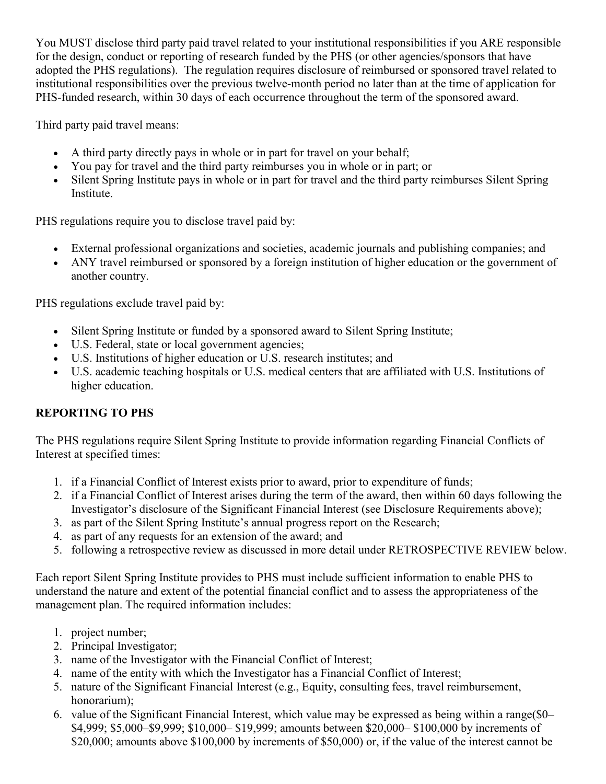You MUST disclose third party paid travel related to your institutional responsibilities if you ARE responsible for the design, conduct or reporting of research funded by the PHS (or other agencies/sponsors that have adopted the PHS regulations). The regulation requires disclosure of reimbursed or sponsored travel related to institutional responsibilities over the previous twelve-month period no later than at the time of application for PHS-funded research, within 30 days of each occurrence throughout the term of the sponsored award.

Third party paid travel means:

- A third party directly pays in whole or in part for travel on your behalf;
- You pay for travel and the third party reimburses you in whole or in part; or
- Silent Spring Institute pays in whole or in part for travel and the third party reimburses Silent Spring Institute.

PHS regulations require you to disclose travel paid by:

- External professional organizations and societies, academic journals and publishing companies; and
- ANY travel reimbursed or sponsored by a foreign institution of higher education or the government of another country.

PHS regulations exclude travel paid by:

- Silent Spring Institute or funded by a sponsored award to Silent Spring Institute;
- U.S. Federal, state or local government agencies;
- U.S. Institutions of higher education or U.S. research institutes; and
- U.S. academic teaching hospitals or U.S. medical centers that are affiliated with U.S. Institutions of higher education.

# **REPORTING TO PHS**

The PHS regulations require Silent Spring Institute to provide information regarding Financial Conflicts of Interest at specified times:

- 1. if a Financial Conflict of Interest exists prior to award, prior to expenditure of funds;
- 2. if a Financial Conflict of Interest arises during the term of the award, then within 60 days following the Investigator's disclosure of the Significant Financial Interest (see Disclosure Requirements above);
- 3. as part of the Silent Spring Institute's annual progress report on the Research;
- 4. as part of any requests for an extension of the award; and
- 5. following a retrospective review as discussed in more detail under RETROSPECTIVE REVIEW below.

Each report Silent Spring Institute provides to PHS must include sufficient information to enable PHS to understand the nature and extent of the potential financial conflict and to assess the appropriateness of the management plan. The required information includes:

- 1. project number;
- 2. Principal Investigator;
- 3. name of the Investigator with the Financial Conflict of Interest;
- 4. name of the entity with which the Investigator has a Financial Conflict of Interest;
- 5. nature of the Significant Financial Interest (e.g., Equity, consulting fees, travel reimbursement, honorarium);
- 6. value of the Significant Financial Interest, which value may be expressed as being within a range(\$0– \$4,999; \$5,000–\$9,999; \$10,000– \$19,999; amounts between \$20,000– \$100,000 by increments of \$20,000; amounts above \$100,000 by increments of \$50,000) or, if the value of the interest cannot be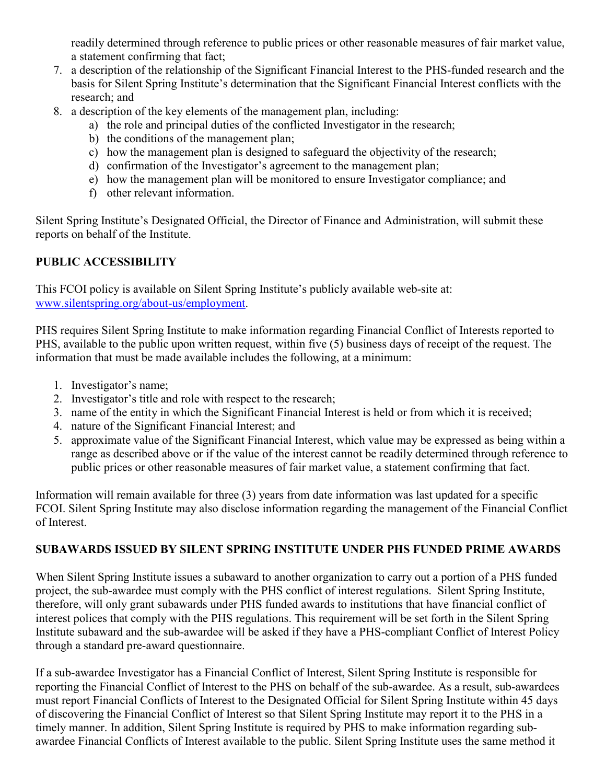readily determined through reference to public prices or other reasonable measures of fair market value, a statement confirming that fact;

- 7. a description of the relationship of the Significant Financial Interest to the PHS-funded research and the basis for Silent Spring Institute's determination that the Significant Financial Interest conflicts with the research; and
- 8. a description of the key elements of the management plan, including:
	- a) the role and principal duties of the conflicted Investigator in the research;
	- b) the conditions of the management plan;
	- c) how the management plan is designed to safeguard the objectivity of the research;
	- d) confirmation of the Investigator's agreement to the management plan;
	- e) how the management plan will be monitored to ensure Investigator compliance; and
	- f) other relevant information.

Silent Spring Institute's Designated Official, the Director of Finance and Administration, will submit these reports on behalf of the Institute.

## **PUBLIC ACCESSIBILITY**

This FCOI policy is available on Silent Spring Institute's publicly available web-site at: [www.silentspring.org/a](http://www.silentspring.org/)bout-us/employment.

PHS requires Silent Spring Institute to make information regarding Financial Conflict of Interests reported to PHS, available to the public upon written request, within five (5) business days of receipt of the request. The information that must be made available includes the following, at a minimum:

- 1. Investigator's name;
- 2. Investigator's title and role with respect to the research;
- 3. name of the entity in which the Significant Financial Interest is held or from which it is received;
- 4. nature of the Significant Financial Interest; and
- 5. approximate value of the Significant Financial Interest, which value may be expressed as being within a range as described above or if the value of the interest cannot be readily determined through reference to public prices or other reasonable measures of fair market value, a statement confirming that fact.

Information will remain available for three (3) years from date information was last updated for a specific FCOI. Silent Spring Institute may also disclose information regarding the management of the Financial Conflict of Interest.

## **SUBAWARDS ISSUED BY SILENT SPRING INSTITUTE UNDER PHS FUNDED PRIME AWARDS**

When Silent Spring Institute issues a subaward to another organization to carry out a portion of a PHS funded project, the sub-awardee must comply with the PHS conflict of interest regulations. Silent Spring Institute, therefore, will only grant subawards under PHS funded awards to institutions that have financial conflict of interest polices that comply with the PHS regulations. This requirement will be set forth in the Silent Spring Institute subaward and the sub-awardee will be asked if they have a PHS-compliant Conflict of Interest Policy through a standard pre-award questionnaire.

If a sub-awardee Investigator has a Financial Conflict of Interest, Silent Spring Institute is responsible for reporting the Financial Conflict of Interest to the PHS on behalf of the sub-awardee. As a result, sub-awardees must report Financial Conflicts of Interest to the Designated Official for Silent Spring Institute within 45 days of discovering the Financial Conflict of Interest so that Silent Spring Institute may report it to the PHS in a timely manner. In addition, Silent Spring Institute is required by PHS to make information regarding subawardee Financial Conflicts of Interest available to the public. Silent Spring Institute uses the same method it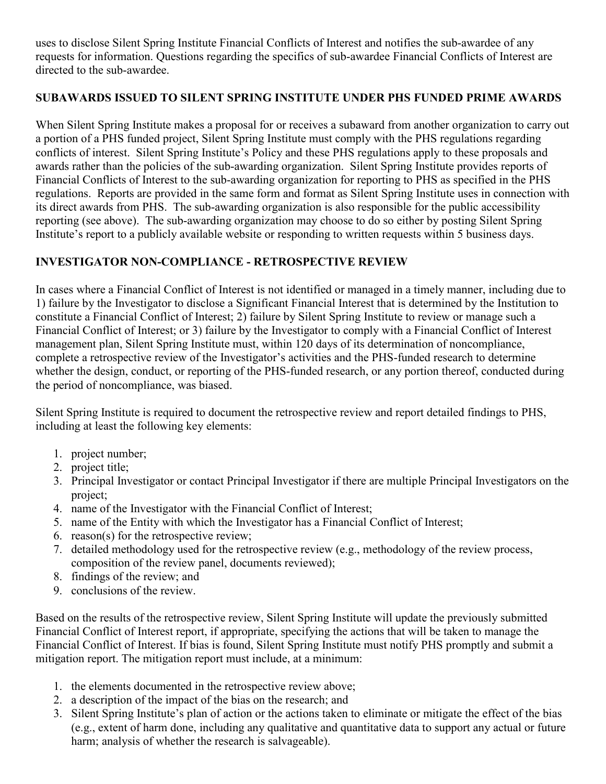uses to disclose Silent Spring Institute Financial Conflicts of Interest and notifies the sub-awardee of any requests for information. Questions regarding the specifics of sub-awardee Financial Conflicts of Interest are directed to the sub-awardee.

## **SUBAWARDS ISSUED TO SILENT SPRING INSTITUTE UNDER PHS FUNDED PRIME AWARDS**

When Silent Spring Institute makes a proposal for or receives a subaward from another organization to carry out a portion of a PHS funded project, Silent Spring Institute must comply with the PHS regulations regarding conflicts of interest. Silent Spring Institute's Policy and these PHS regulations apply to these proposals and awards rather than the policies of the sub-awarding organization. Silent Spring Institute provides reports of Financial Conflicts of Interest to the sub-awarding organization for reporting to PHS as specified in the PHS regulations. Reports are provided in the same form and format as Silent Spring Institute uses in connection with its direct awards from PHS. The sub-awarding organization is also responsible for the public accessibility reporting (see above). The sub-awarding organization may choose to do so either by posting Silent Spring Institute's report to a publicly available website or responding to written requests within 5 business days.

# **INVESTIGATOR NON-COMPLIANCE - RETROSPECTIVE REVIEW**

In cases where a Financial Conflict of Interest is not identified or managed in a timely manner, including due to 1) failure by the Investigator to disclose a Significant Financial Interest that is determined by the Institution to constitute a Financial Conflict of Interest; 2) failure by Silent Spring Institute to review or manage such a Financial Conflict of Interest; or 3) failure by the Investigator to comply with a Financial Conflict of Interest management plan, Silent Spring Institute must, within 120 days of its determination of noncompliance, complete a retrospective review of the Investigator's activities and the PHS-funded research to determine whether the design, conduct, or reporting of the PHS-funded research, or any portion thereof, conducted during the period of noncompliance, was biased.

Silent Spring Institute is required to document the retrospective review and report detailed findings to PHS, including at least the following key elements:

- 1. project number;
- 2. project title;
- 3. Principal Investigator or contact Principal Investigator if there are multiple Principal Investigators on the project;
- 4. name of the Investigator with the Financial Conflict of Interest;
- 5. name of the Entity with which the Investigator has a Financial Conflict of Interest;
- 6. reason(s) for the retrospective review;
- 7. detailed methodology used for the retrospective review (e.g., methodology of the review process, composition of the review panel, documents reviewed);
- 8. findings of the review; and
- 9. conclusions of the review.

Based on the results of the retrospective review, Silent Spring Institute will update the previously submitted Financial Conflict of Interest report, if appropriate, specifying the actions that will be taken to manage the Financial Conflict of Interest. If bias is found, Silent Spring Institute must notify PHS promptly and submit a mitigation report. The mitigation report must include, at a minimum:

- 1. the elements documented in the retrospective review above;
- 2. a description of the impact of the bias on the research; and
- 3. Silent Spring Institute's plan of action or the actions taken to eliminate or mitigate the effect of the bias (e.g., extent of harm done, including any qualitative and quantitative data to support any actual or future harm; analysis of whether the research is salvageable).